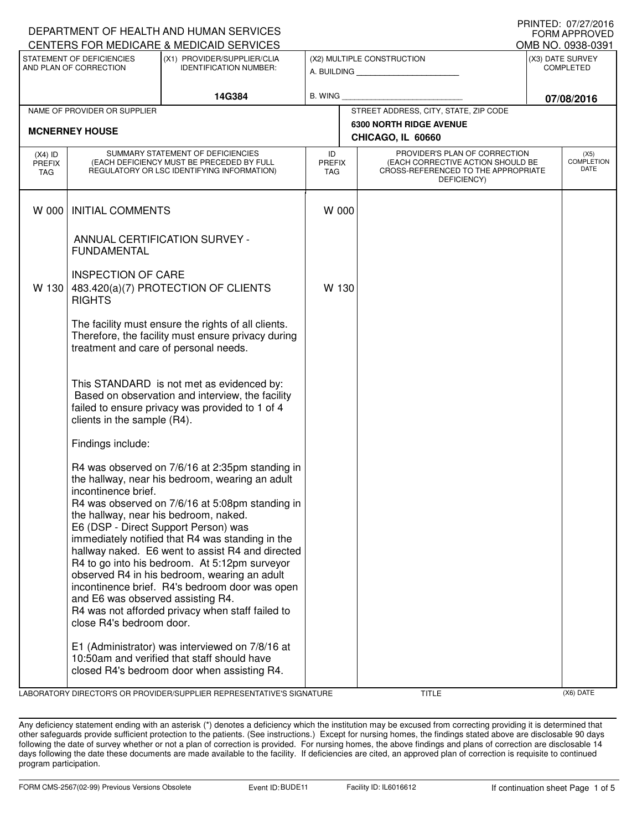| DEPARTMENT OF HEALTH AND HUMAN SERVICES<br>FORM APPROVED                                                            |                                                                                                                                                                       |                                                                                                                                                                                                                                                                                                                                                                                                                                                                      |                            |                                                                                                                                                                             |            |                   |  |
|---------------------------------------------------------------------------------------------------------------------|-----------------------------------------------------------------------------------------------------------------------------------------------------------------------|----------------------------------------------------------------------------------------------------------------------------------------------------------------------------------------------------------------------------------------------------------------------------------------------------------------------------------------------------------------------------------------------------------------------------------------------------------------------|----------------------------|-----------------------------------------------------------------------------------------------------------------------------------------------------------------------------|------------|-------------------|--|
| CENTERS FOR MEDICARE & MEDICAID SERVICES                                                                            |                                                                                                                                                                       |                                                                                                                                                                                                                                                                                                                                                                                                                                                                      |                            |                                                                                                                                                                             |            | OMB NO. 0938-0391 |  |
| STATEMENT OF DEFICIENCIES<br>(X1) PROVIDER/SUPPLIER/CLIA<br>AND PLAN OF CORRECTION<br><b>IDENTIFICATION NUMBER:</b> |                                                                                                                                                                       |                                                                                                                                                                                                                                                                                                                                                                                                                                                                      | (X2) MULTIPLE CONSTRUCTION | (X3) DATE SURVEY<br><b>COMPLETED</b>                                                                                                                                        |            |                   |  |
|                                                                                                                     |                                                                                                                                                                       | 14G384                                                                                                                                                                                                                                                                                                                                                                                                                                                               | B. WING                    |                                                                                                                                                                             | 07/08/2016 |                   |  |
|                                                                                                                     | NAME OF PROVIDER OR SUPPLIER                                                                                                                                          |                                                                                                                                                                                                                                                                                                                                                                                                                                                                      |                            | STREET ADDRESS, CITY, STATE, ZIP CODE                                                                                                                                       |            |                   |  |
|                                                                                                                     | <b>MCNERNEY HOUSE</b>                                                                                                                                                 |                                                                                                                                                                                                                                                                                                                                                                                                                                                                      |                            | <b>6300 NORTH RIDGE AVENUE</b><br>CHICAGO, IL 60660                                                                                                                         |            |                   |  |
| $(X4)$ ID<br>PREFIX<br>TAG                                                                                          | SUMMARY STATEMENT OF DEFICIENCIES<br>(EACH DEFICIENCY MUST BE PRECEDED BY FULL<br>REGULATORY OR LSC IDENTIFYING INFORMATION)                                          |                                                                                                                                                                                                                                                                                                                                                                                                                                                                      |                            | PROVIDER'S PLAN OF CORRECTION<br>ID<br><b>COMPLETION</b><br>(EACH CORRECTIVE ACTION SHOULD BE<br><b>PREFIX</b><br>CROSS-REFERENCED TO THE APPROPRIATE<br>TAG<br>DEFICIENCY) |            |                   |  |
| W 000                                                                                                               | <b>INITIAL COMMENTS</b>                                                                                                                                               |                                                                                                                                                                                                                                                                                                                                                                                                                                                                      | W 000                      |                                                                                                                                                                             |            |                   |  |
|                                                                                                                     | <b>FUNDAMENTAL</b>                                                                                                                                                    | ANNUAL CERTIFICATION SURVEY -                                                                                                                                                                                                                                                                                                                                                                                                                                        |                            |                                                                                                                                                                             |            |                   |  |
| W 130                                                                                                               | <b>INSPECTION OF CARE</b><br><b>RIGHTS</b>                                                                                                                            | 483.420(a)(7) PROTECTION OF CLIENTS                                                                                                                                                                                                                                                                                                                                                                                                                                  | W 130                      |                                                                                                                                                                             |            |                   |  |
|                                                                                                                     | treatment and care of personal needs.                                                                                                                                 | The facility must ensure the rights of all clients.<br>Therefore, the facility must ensure privacy during                                                                                                                                                                                                                                                                                                                                                            |                            |                                                                                                                                                                             |            |                   |  |
|                                                                                                                     | clients in the sample (R4).                                                                                                                                           | This STANDARD is not met as evidenced by:<br>Based on observation and interview, the facility<br>failed to ensure privacy was provided to 1 of 4                                                                                                                                                                                                                                                                                                                     |                            |                                                                                                                                                                             |            |                   |  |
|                                                                                                                     | Findings include:                                                                                                                                                     |                                                                                                                                                                                                                                                                                                                                                                                                                                                                      |                            |                                                                                                                                                                             |            |                   |  |
|                                                                                                                     | incontinence brief.<br>the hallway, near his bedroom, naked.<br>E6 (DSP - Direct Support Person) was<br>and E6 was observed assisting R4.<br>close R4's bedroom door. | R4 was observed on 7/6/16 at 2:35pm standing in<br>the hallway, near his bedroom, wearing an adult<br>R4 was observed on 7/6/16 at 5:08pm standing in<br>immediately notified that R4 was standing in the<br>hallway naked. E6 went to assist R4 and directed<br>R4 to go into his bedroom. At 5:12pm surveyor<br>observed R4 in his bedroom, wearing an adult<br>incontinence brief. R4's bedroom door was open<br>R4 was not afforded privacy when staff failed to |                            |                                                                                                                                                                             |            |                   |  |
|                                                                                                                     |                                                                                                                                                                       | E1 (Administrator) was interviewed on 7/8/16 at<br>10:50am and verified that staff should have<br>closed R4's bedroom door when assisting R4.                                                                                                                                                                                                                                                                                                                        |                            |                                                                                                                                                                             |            |                   |  |

LABORATORY DIRECTOR'S OR PROVIDER/SUPPLIER REPRESENTATIVE'S SIGNATURE TITLE (X6) DATE

PRINTED: 07/27/2016

Any deficiency statement ending with an asterisk (\*) denotes a deficiency which the institution may be excused from correcting providing it is determined that other safeguards provide sufficient protection to the patients. (See instructions.) Except for nursing homes, the findings stated above are disclosable 90 days following the date of survey whether or not a plan of correction is provided. For nursing homes, the above findings and plans of correction are disclosable 14 days following the date these documents are made available to the facility. If deficiencies are cited, an approved plan of correction is requisite to continued program participation.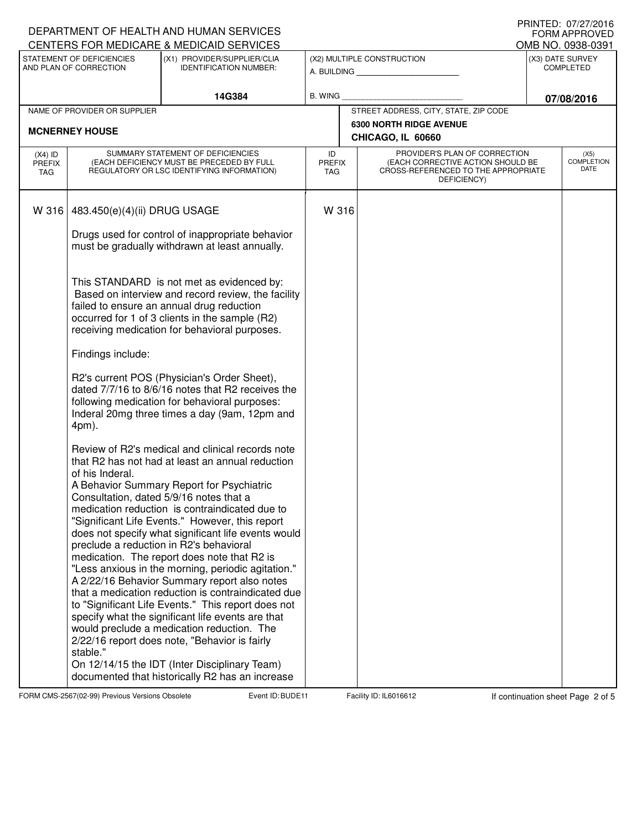|                                                     |                                                                                                                              | DEPARTMENT OF HEALTH AND HUMAN SERVICES<br>CENTERS FOR MEDICARE & MEDICAID SERVICES                                                                                                                                                                                                                                                                                                                                                                                                                                                                                                                                                                                                                                                                                                                                                                                                                                                                                                                                                                                                                                                                                                                                                                                                                                                 |                                           |                                                                                                                                                               |                                                     |                                      | FNIIVIED. UI/ZI/ZUIO<br><b>FORM APPROVED</b><br>OMB NO. 0938-0391 |
|-----------------------------------------------------|------------------------------------------------------------------------------------------------------------------------------|-------------------------------------------------------------------------------------------------------------------------------------------------------------------------------------------------------------------------------------------------------------------------------------------------------------------------------------------------------------------------------------------------------------------------------------------------------------------------------------------------------------------------------------------------------------------------------------------------------------------------------------------------------------------------------------------------------------------------------------------------------------------------------------------------------------------------------------------------------------------------------------------------------------------------------------------------------------------------------------------------------------------------------------------------------------------------------------------------------------------------------------------------------------------------------------------------------------------------------------------------------------------------------------------------------------------------------------|-------------------------------------------|---------------------------------------------------------------------------------------------------------------------------------------------------------------|-----------------------------------------------------|--------------------------------------|-------------------------------------------------------------------|
| STATEMENT OF DEFICIENCIES<br>AND PLAN OF CORRECTION |                                                                                                                              | (X1) PROVIDER/SUPPLIER/CLIA<br><b>IDENTIFICATION NUMBER:</b>                                                                                                                                                                                                                                                                                                                                                                                                                                                                                                                                                                                                                                                                                                                                                                                                                                                                                                                                                                                                                                                                                                                                                                                                                                                                        | (X2) MULTIPLE CONSTRUCTION<br>A. BUILDING |                                                                                                                                                               |                                                     | (X3) DATE SURVEY<br><b>COMPLETED</b> |                                                                   |
|                                                     |                                                                                                                              | 14G384                                                                                                                                                                                                                                                                                                                                                                                                                                                                                                                                                                                                                                                                                                                                                                                                                                                                                                                                                                                                                                                                                                                                                                                                                                                                                                                              | <b>B. WING</b>                            |                                                                                                                                                               |                                                     | 07/08/2016                           |                                                                   |
|                                                     | NAME OF PROVIDER OR SUPPLIER                                                                                                 |                                                                                                                                                                                                                                                                                                                                                                                                                                                                                                                                                                                                                                                                                                                                                                                                                                                                                                                                                                                                                                                                                                                                                                                                                                                                                                                                     |                                           |                                                                                                                                                               | STREET ADDRESS, CITY, STATE, ZIP CODE               |                                      |                                                                   |
|                                                     | <b>MCNERNEY HOUSE</b>                                                                                                        |                                                                                                                                                                                                                                                                                                                                                                                                                                                                                                                                                                                                                                                                                                                                                                                                                                                                                                                                                                                                                                                                                                                                                                                                                                                                                                                                     |                                           |                                                                                                                                                               | <b>6300 NORTH RIDGE AVENUE</b><br>CHICAGO, IL 60660 |                                      |                                                                   |
| $(X4)$ ID<br><b>PREFIX</b><br>TAG                   | SUMMARY STATEMENT OF DEFICIENCIES<br>(EACH DEFICIENCY MUST BE PRECEDED BY FULL<br>REGULATORY OR LSC IDENTIFYING INFORMATION) |                                                                                                                                                                                                                                                                                                                                                                                                                                                                                                                                                                                                                                                                                                                                                                                                                                                                                                                                                                                                                                                                                                                                                                                                                                                                                                                                     |                                           | PROVIDER'S PLAN OF CORRECTION<br>ID<br>(EACH CORRECTIVE ACTION SHOULD BE<br><b>PREFIX</b><br>CROSS-REFERENCED TO THE APPROPRIATE<br><b>TAG</b><br>DEFICIENCY) |                                                     |                                      | (X5)<br><b>COMPLETION</b><br>DATE                                 |
| W 316                                               | 483.450(e)(4)(ii) DRUG USAGE                                                                                                 | Drugs used for control of inappropriate behavior                                                                                                                                                                                                                                                                                                                                                                                                                                                                                                                                                                                                                                                                                                                                                                                                                                                                                                                                                                                                                                                                                                                                                                                                                                                                                    | W 316                                     |                                                                                                                                                               |                                                     |                                      |                                                                   |
|                                                     | Findings include:<br>4pm).<br>of his Inderal.                                                                                | must be gradually withdrawn at least annually.<br>This STANDARD is not met as evidenced by:<br>Based on interview and record review, the facility<br>failed to ensure an annual drug reduction<br>occurred for 1 of 3 clients in the sample (R2)<br>receiving medication for behavioral purposes.<br>R2's current POS (Physician's Order Sheet),<br>dated 7/7/16 to 8/6/16 notes that R2 receives the<br>following medication for behavioral purposes:<br>Inderal 20mg three times a day (9am, 12pm and<br>Review of R2's medical and clinical records note<br>that R2 has not had at least an annual reduction<br>A Behavior Summary Report for Psychiatric<br>Consultation, dated 5/9/16 notes that a<br>medication reduction is contraindicated due to<br>"Significant Life Events." However, this report<br>does not specify what significant life events would<br>preclude a reduction in R2's behavioral<br>medication. The report does note that R2 is<br>"Less anxious in the morning, periodic agitation."<br>A 2/22/16 Behavior Summary report also notes<br>that a medication reduction is contraindicated due<br>to "Significant Life Events." This report does not<br>specify what the significant life events are that<br>would preclude a medication reduction. The<br>2/22/16 report does note, "Behavior is fairly |                                           |                                                                                                                                                               |                                                     |                                      |                                                                   |
|                                                     | stable."                                                                                                                     | On 12/14/15 the IDT (Inter Disciplinary Team)<br>documented that historically R2 has an increase                                                                                                                                                                                                                                                                                                                                                                                                                                                                                                                                                                                                                                                                                                                                                                                                                                                                                                                                                                                                                                                                                                                                                                                                                                    |                                           |                                                                                                                                                               |                                                     |                                      |                                                                   |

FORM CMS-2567(02-99) Previous Versions Obsolete **Burne Event ID: BUDE 11** Facility ID: IL6016612 If continuation sheet Page 2 of 5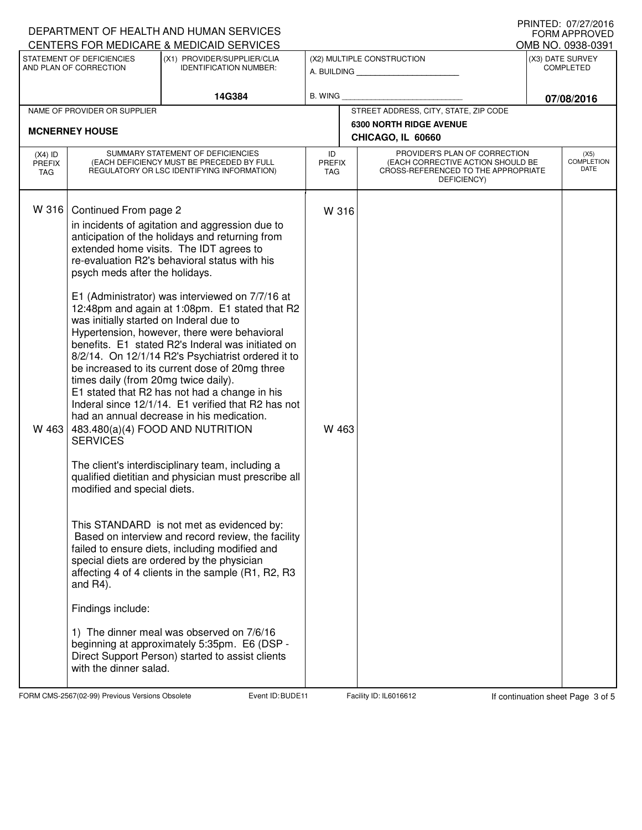|                                                                                                                     |                                                                                                                                                                                                                                                            | DEPARTMENT OF HEALTH AND HUMAN SERVICES<br>CENTERS FOR MEDICARE & MEDICAID SERVICES                                                                                                                                                                                                                                                                                                                                                                                                                                                                                                                                                                                                                                                                                                                                                                                                                                                                                                                                                                                                                                                                                                                                            |                                   |                                                                                                                          |                                                     |            | $1111111L$ . $011L11L01U$<br><b>FORM APPROVED</b><br>OMB NO. 0938-0391 |
|---------------------------------------------------------------------------------------------------------------------|------------------------------------------------------------------------------------------------------------------------------------------------------------------------------------------------------------------------------------------------------------|--------------------------------------------------------------------------------------------------------------------------------------------------------------------------------------------------------------------------------------------------------------------------------------------------------------------------------------------------------------------------------------------------------------------------------------------------------------------------------------------------------------------------------------------------------------------------------------------------------------------------------------------------------------------------------------------------------------------------------------------------------------------------------------------------------------------------------------------------------------------------------------------------------------------------------------------------------------------------------------------------------------------------------------------------------------------------------------------------------------------------------------------------------------------------------------------------------------------------------|-----------------------------------|--------------------------------------------------------------------------------------------------------------------------|-----------------------------------------------------|------------|------------------------------------------------------------------------|
| STATEMENT OF DEFICIENCIES<br>(X1) PROVIDER/SUPPLIER/CLIA<br>AND PLAN OF CORRECTION<br><b>IDENTIFICATION NUMBER:</b> |                                                                                                                                                                                                                                                            |                                                                                                                                                                                                                                                                                                                                                                                                                                                                                                                                                                                                                                                                                                                                                                                                                                                                                                                                                                                                                                                                                                                                                                                                                                |                                   | (X2) MULTIPLE CONSTRUCTION<br>A. BUILDING                                                                                | (X3) DATE SURVEY<br><b>COMPLETED</b>                |            |                                                                        |
|                                                                                                                     |                                                                                                                                                                                                                                                            | 14G384                                                                                                                                                                                                                                                                                                                                                                                                                                                                                                                                                                                                                                                                                                                                                                                                                                                                                                                                                                                                                                                                                                                                                                                                                         | <b>B. WING</b>                    |                                                                                                                          |                                                     | 07/08/2016 |                                                                        |
|                                                                                                                     | NAME OF PROVIDER OR SUPPLIER                                                                                                                                                                                                                               |                                                                                                                                                                                                                                                                                                                                                                                                                                                                                                                                                                                                                                                                                                                                                                                                                                                                                                                                                                                                                                                                                                                                                                                                                                |                                   |                                                                                                                          | STREET ADDRESS, CITY, STATE, ZIP CODE               |            |                                                                        |
|                                                                                                                     | <b>MCNERNEY HOUSE</b>                                                                                                                                                                                                                                      |                                                                                                                                                                                                                                                                                                                                                                                                                                                                                                                                                                                                                                                                                                                                                                                                                                                                                                                                                                                                                                                                                                                                                                                                                                |                                   |                                                                                                                          | <b>6300 NORTH RIDGE AVENUE</b><br>CHICAGO, IL 60660 |            |                                                                        |
| $(X4)$ ID<br><b>PREFIX</b><br><b>TAG</b>                                                                            | SUMMARY STATEMENT OF DEFICIENCIES<br>(EACH DEFICIENCY MUST BE PRECEDED BY FULL<br>REGULATORY OR LSC IDENTIFYING INFORMATION)                                                                                                                               |                                                                                                                                                                                                                                                                                                                                                                                                                                                                                                                                                                                                                                                                                                                                                                                                                                                                                                                                                                                                                                                                                                                                                                                                                                | ID<br><b>PREFIX</b><br><b>TAG</b> | PROVIDER'S PLAN OF CORRECTION<br>(EACH CORRECTIVE ACTION SHOULD BE<br>CROSS-REFERENCED TO THE APPROPRIATE<br>DEFICIENCY) |                                                     |            | (X5)<br><b>COMPLETION</b><br>DATE                                      |
| W 316<br>W 463                                                                                                      | Continued From page 2<br>psych meds after the holidays.<br>was initially started on Inderal due to<br>times daily (from 20mg twice daily).<br><b>SERVICES</b><br>modified and special diets.<br>and $R4$ ).<br>Findings include:<br>with the dinner salad. | in incidents of agitation and aggression due to<br>anticipation of the holidays and returning from<br>extended home visits. The IDT agrees to<br>re-evaluation R2's behavioral status with his<br>E1 (Administrator) was interviewed on 7/7/16 at<br>12:48pm and again at 1:08pm. E1 stated that R2<br>Hypertension, however, there were behavioral<br>benefits. E1 stated R2's Inderal was initiated on<br>8/2/14. On 12/1/14 R2's Psychiatrist ordered it to<br>be increased to its current dose of 20mg three<br>E1 stated that R2 has not had a change in his<br>Inderal since 12/1/14. E1 verified that R2 has not<br>had an annual decrease in his medication.<br>483.480(a)(4) FOOD AND NUTRITION<br>The client's interdisciplinary team, including a<br>qualified dietitian and physician must prescribe all<br>This STANDARD is not met as evidenced by:<br>Based on interview and record review, the facility<br>failed to ensure diets, including modified and<br>special diets are ordered by the physician<br>affecting 4 of 4 clients in the sample (R1, R2, R3<br>1) The dinner meal was observed on 7/6/16<br>beginning at approximately 5:35pm. E6 (DSP -<br>Direct Support Person) started to assist clients | W 316<br>W 463                    |                                                                                                                          |                                                     |            |                                                                        |

FORM CMS-2567(02-99) Previous Versions Obsolete **Burne Event ID: BUDE 11** Facility ID: IL6016612 If continuation sheet Page 3 of 5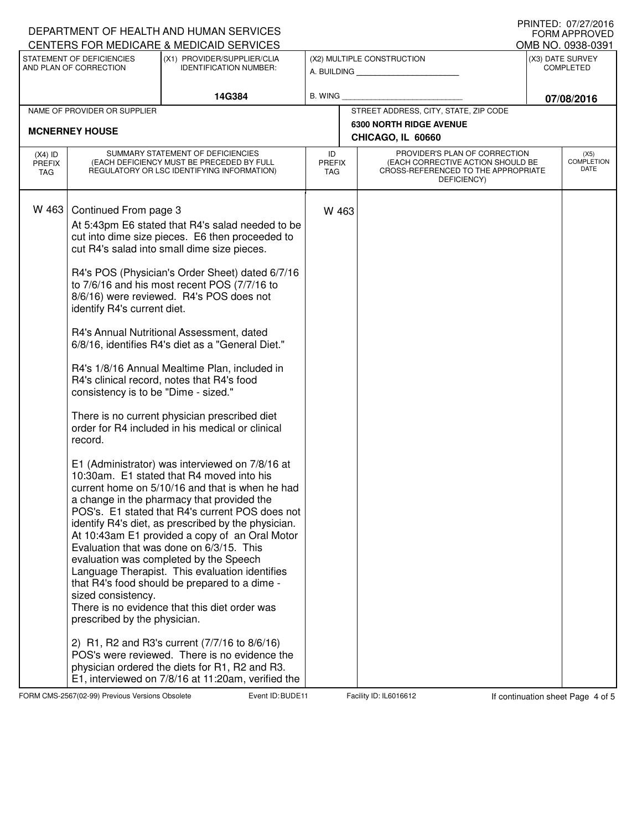|                                                                                                                     |                                                                                                                                                               | DEPARTMENT OF HEALTH AND HUMAN SERVICES<br>CENTERS FOR MEDICARE & MEDICAID SERVICES                                                                                                                                                                                                                                                                                                                                                                                                                                                                                                                                                                                                                                                                                                                                                                                                                                                                                                                                                                                                                                                                                                                                                                                                                                                                                                                                      |       |                                                                                                                                                               |                                                     |  | I IUINILLI. VIILIILUIV<br><b>FORM APPROVED</b> |  |
|---------------------------------------------------------------------------------------------------------------------|---------------------------------------------------------------------------------------------------------------------------------------------------------------|--------------------------------------------------------------------------------------------------------------------------------------------------------------------------------------------------------------------------------------------------------------------------------------------------------------------------------------------------------------------------------------------------------------------------------------------------------------------------------------------------------------------------------------------------------------------------------------------------------------------------------------------------------------------------------------------------------------------------------------------------------------------------------------------------------------------------------------------------------------------------------------------------------------------------------------------------------------------------------------------------------------------------------------------------------------------------------------------------------------------------------------------------------------------------------------------------------------------------------------------------------------------------------------------------------------------------------------------------------------------------------------------------------------------------|-------|---------------------------------------------------------------------------------------------------------------------------------------------------------------|-----------------------------------------------------|--|------------------------------------------------|--|
| STATEMENT OF DEFICIENCIES<br>(X1) PROVIDER/SUPPLIER/CLIA<br>AND PLAN OF CORRECTION<br><b>IDENTIFICATION NUMBER:</b> |                                                                                                                                                               | (X2) MULTIPLE CONSTRUCTION<br>A. BUILDING <b>A.</b> BUILDING                                                                                                                                                                                                                                                                                                                                                                                                                                                                                                                                                                                                                                                                                                                                                                                                                                                                                                                                                                                                                                                                                                                                                                                                                                                                                                                                                             |       |                                                                                                                                                               | OMB NO. 0938-0391<br>(X3) DATE SURVEY<br>COMPLETED  |  |                                                |  |
| 14G384                                                                                                              |                                                                                                                                                               | <b>B. WING</b>                                                                                                                                                                                                                                                                                                                                                                                                                                                                                                                                                                                                                                                                                                                                                                                                                                                                                                                                                                                                                                                                                                                                                                                                                                                                                                                                                                                                           |       |                                                                                                                                                               | 07/08/2016                                          |  |                                                |  |
|                                                                                                                     | NAME OF PROVIDER OR SUPPLIER                                                                                                                                  |                                                                                                                                                                                                                                                                                                                                                                                                                                                                                                                                                                                                                                                                                                                                                                                                                                                                                                                                                                                                                                                                                                                                                                                                                                                                                                                                                                                                                          |       |                                                                                                                                                               | STREET ADDRESS, CITY, STATE, ZIP CODE               |  |                                                |  |
|                                                                                                                     | <b>MCNERNEY HOUSE</b>                                                                                                                                         |                                                                                                                                                                                                                                                                                                                                                                                                                                                                                                                                                                                                                                                                                                                                                                                                                                                                                                                                                                                                                                                                                                                                                                                                                                                                                                                                                                                                                          |       |                                                                                                                                                               | <b>6300 NORTH RIDGE AVENUE</b><br>CHICAGO, IL 60660 |  |                                                |  |
| $(X4)$ ID<br><b>PREFIX</b><br><b>TAG</b>                                                                            | SUMMARY STATEMENT OF DEFICIENCIES<br>(EACH DEFICIENCY MUST BE PRECEDED BY FULL<br>REGULATORY OR LSC IDENTIFYING INFORMATION)                                  |                                                                                                                                                                                                                                                                                                                                                                                                                                                                                                                                                                                                                                                                                                                                                                                                                                                                                                                                                                                                                                                                                                                                                                                                                                                                                                                                                                                                                          |       | PROVIDER'S PLAN OF CORRECTION<br>ID<br>(EACH CORRECTIVE ACTION SHOULD BE<br><b>PREFIX</b><br>CROSS-REFERENCED TO THE APPROPRIATE<br><b>TAG</b><br>DEFICIENCY) |                                                     |  | (X5)<br><b>COMPLETION</b><br>DATE              |  |
| W 463                                                                                                               | Continued From page 3<br>identify R4's current diet.<br>consistency is to be "Dime - sized."<br>record.<br>sized consistency.<br>prescribed by the physician. | At 5:43pm E6 stated that R4's salad needed to be<br>cut into dime size pieces. E6 then proceeded to<br>cut R4's salad into small dime size pieces.<br>R4's POS (Physician's Order Sheet) dated 6/7/16<br>to 7/6/16 and his most recent POS (7/7/16 to<br>8/6/16) were reviewed. R4's POS does not<br>R4's Annual Nutritional Assessment, dated<br>6/8/16, identifies R4's diet as a "General Diet."<br>R4's 1/8/16 Annual Mealtime Plan, included in<br>R4's clinical record, notes that R4's food<br>There is no current physician prescribed diet<br>order for R4 included in his medical or clinical<br>E1 (Administrator) was interviewed on 7/8/16 at<br>10:30am. E1 stated that R4 moved into his<br>current home on 5/10/16 and that is when he had<br>a change in the pharmacy that provided the<br>POS's. E1 stated that R4's current POS does not<br>identify R4's diet, as prescribed by the physician.<br>At 10:43am E1 provided a copy of an Oral Motor<br>Evaluation that was done on 6/3/15. This<br>evaluation was completed by the Speech<br>Language Therapist. This evaluation identifies<br>that R4's food should be prepared to a dime -<br>There is no evidence that this diet order was<br>2) R1, R2 and R3's current (7/7/16 to 8/6/16)<br>POS's were reviewed. There is no evidence the<br>physician ordered the diets for R1, R2 and R3.<br>E1, interviewed on 7/8/16 at 11:20am, verified the | W 463 |                                                                                                                                                               |                                                     |  |                                                |  |

FORM CMS-2567(02-99) Previous Versions Obsolete Event ID: BUDE 11 Facility ID: IL6016612 If continuation sheet Page 4 of 5